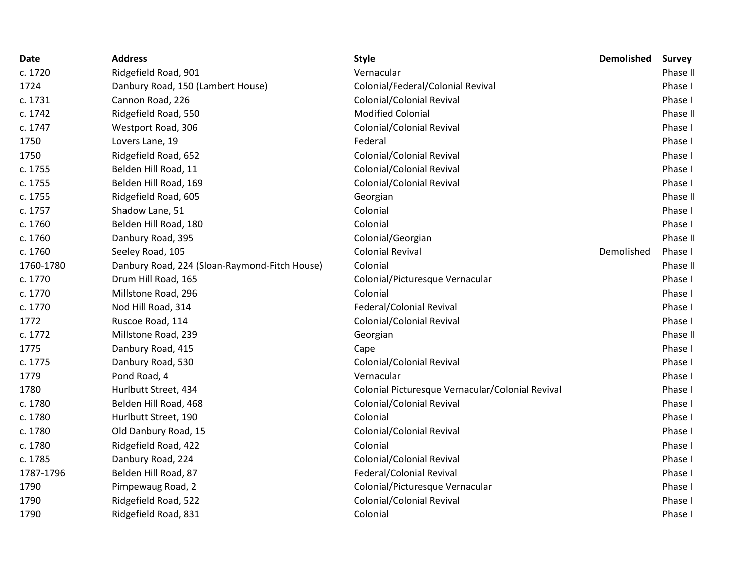| <b>Date</b> | <b>Address</b>                                | <b>Style</b>                                     | <b>Demolished</b> | <b>Survey</b> |
|-------------|-----------------------------------------------|--------------------------------------------------|-------------------|---------------|
| c. 1720     | Ridgefield Road, 901                          | Vernacular                                       |                   | Phase II      |
| 1724        | Danbury Road, 150 (Lambert House)             | Colonial/Federal/Colonial Revival                |                   | Phase I       |
| c. 1731     | Cannon Road, 226                              | Colonial/Colonial Revival                        |                   | Phase I       |
| c. 1742     | Ridgefield Road, 550                          | <b>Modified Colonial</b>                         |                   | Phase II      |
| c. 1747     | Westport Road, 306                            | Colonial/Colonial Revival                        |                   | Phase I       |
| 1750        | Lovers Lane, 19                               | Federal                                          |                   | Phase I       |
| 1750        | Ridgefield Road, 652                          | Colonial/Colonial Revival                        |                   | Phase I       |
| c. 1755     | Belden Hill Road, 11                          | Colonial/Colonial Revival                        |                   | Phase I       |
| c. 1755     | Belden Hill Road, 169                         | Colonial/Colonial Revival                        |                   | Phase I       |
| c. 1755     | Ridgefield Road, 605                          | Georgian                                         |                   | Phase II      |
| c. 1757     | Shadow Lane, 51                               | Colonial                                         |                   | Phase I       |
| c. 1760     | Belden Hill Road, 180                         | Colonial                                         |                   | Phase I       |
| c. 1760     | Danbury Road, 395                             | Colonial/Georgian                                |                   | Phase II      |
| c. 1760     | Seeley Road, 105                              | <b>Colonial Revival</b>                          | Demolished        | Phase I       |
| 1760-1780   | Danbury Road, 224 (Sloan-Raymond-Fitch House) | Colonial                                         |                   | Phase II      |
| c. 1770     | Drum Hill Road, 165                           | Colonial/Picturesque Vernacular                  |                   | Phase I       |
| c. 1770     | Millstone Road, 296                           | Colonial                                         |                   | Phase I       |
| c. 1770     | Nod Hill Road, 314                            | Federal/Colonial Revival                         |                   | Phase I       |
| 1772        | Ruscoe Road, 114                              | Colonial/Colonial Revival                        |                   | Phase I       |
| c. 1772     | Millstone Road, 239                           | Georgian                                         |                   | Phase II      |
| 1775        | Danbury Road, 415                             | Cape                                             |                   | Phase I       |
| c. 1775     | Danbury Road, 530                             | Colonial/Colonial Revival                        |                   | Phase I       |
| 1779        | Pond Road, 4                                  | Vernacular                                       |                   | Phase I       |
| 1780        | Hurlbutt Street, 434                          | Colonial Picturesque Vernacular/Colonial Revival |                   | Phase I       |
| c. 1780     | Belden Hill Road, 468                         | Colonial/Colonial Revival                        |                   | Phase I       |
| c. 1780     | Hurlbutt Street, 190                          | Colonial                                         |                   | Phase I       |
| c. 1780     | Old Danbury Road, 15                          | Colonial/Colonial Revival                        |                   | Phase I       |
| c. 1780     | Ridgefield Road, 422                          | Colonial                                         |                   | Phase I       |
| c. 1785     | Danbury Road, 224                             | Colonial/Colonial Revival                        |                   | Phase I       |
| 1787-1796   | Belden Hill Road, 87                          | Federal/Colonial Revival                         |                   | Phase I       |
| 1790        | Pimpewaug Road, 2                             | Colonial/Picturesque Vernacular                  |                   | Phase I       |
| 1790        | Ridgefield Road, 522                          | Colonial/Colonial Revival                        |                   | Phase I       |
| 1790        | Ridgefield Road, 831                          | Colonial                                         |                   | Phase I       |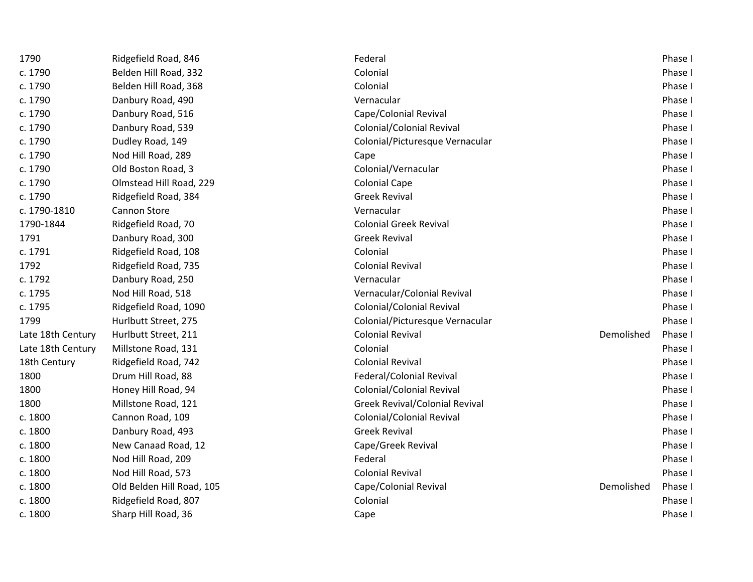| 1790              | Ridgefield Road, 846      | Federal                               |            | Phase I |
|-------------------|---------------------------|---------------------------------------|------------|---------|
| c. 1790           | Belden Hill Road, 332     | Colonial                              |            | Phase I |
| c. 1790           | Belden Hill Road, 368     | Colonial                              |            | Phase I |
| c. 1790           | Danbury Road, 490         | Vernacular                            |            | Phase I |
| c. 1790           | Danbury Road, 516         | Cape/Colonial Revival                 |            | Phase I |
| c. 1790           | Danbury Road, 539         | Colonial/Colonial Revival             |            | Phase I |
| c. 1790           | Dudley Road, 149          | Colonial/Picturesque Vernacular       |            | Phase I |
| c. 1790           | Nod Hill Road, 289        | Cape                                  |            | Phase I |
| c. 1790           | Old Boston Road, 3        | Colonial/Vernacular                   |            | Phase I |
| c. 1790           | Olmstead Hill Road, 229   | <b>Colonial Cape</b>                  |            | Phase I |
| c. 1790           | Ridgefield Road, 384      | <b>Greek Revival</b>                  |            | Phase I |
| c. 1790-1810      | Cannon Store              | Vernacular                            |            | Phase I |
| 1790-1844         | Ridgefield Road, 70       | <b>Colonial Greek Revival</b>         |            | Phase I |
| 1791              | Danbury Road, 300         | <b>Greek Revival</b>                  |            | Phase I |
| c. 1791           | Ridgefield Road, 108      | Colonial                              |            | Phase I |
| 1792              | Ridgefield Road, 735      | <b>Colonial Revival</b>               |            | Phase I |
| c. 1792           | Danbury Road, 250         | Vernacular                            |            | Phase I |
| c. 1795           | Nod Hill Road, 518        | Vernacular/Colonial Revival           |            | Phase I |
| c. 1795           | Ridgefield Road, 1090     | Colonial/Colonial Revival             |            | Phase I |
| 1799              | Hurlbutt Street, 275      | Colonial/Picturesque Vernacular       |            | Phase I |
| Late 18th Century | Hurlbutt Street, 211      | <b>Colonial Revival</b>               | Demolished | Phase I |
| Late 18th Century | Millstone Road, 131       | Colonial                              |            | Phase I |
| 18th Century      | Ridgefield Road, 742      | <b>Colonial Revival</b>               |            | Phase I |
| 1800              | Drum Hill Road, 88        | Federal/Colonial Revival              |            | Phase I |
| 1800              | Honey Hill Road, 94       | Colonial/Colonial Revival             |            | Phase I |
| 1800              | Millstone Road, 121       | <b>Greek Revival/Colonial Revival</b> |            | Phase I |
| c. 1800           | Cannon Road, 109          | Colonial/Colonial Revival             |            | Phase I |
| c. 1800           | Danbury Road, 493         | <b>Greek Revival</b>                  |            | Phase I |
| c. 1800           | New Canaad Road, 12       | Cape/Greek Revival                    |            | Phase I |
| c. 1800           | Nod Hill Road, 209        | Federal                               |            | Phase I |
| c. 1800           | Nod Hill Road, 573        | <b>Colonial Revival</b>               |            | Phase I |
| c. 1800           | Old Belden Hill Road, 105 | Cape/Colonial Revival                 | Demolished | Phase I |
| c. 1800           | Ridgefield Road, 807      | Colonial                              |            | Phase I |
| c. 1800           | Sharp Hill Road, 36       | Cape                                  |            | Phase I |
|                   |                           |                                       |            |         |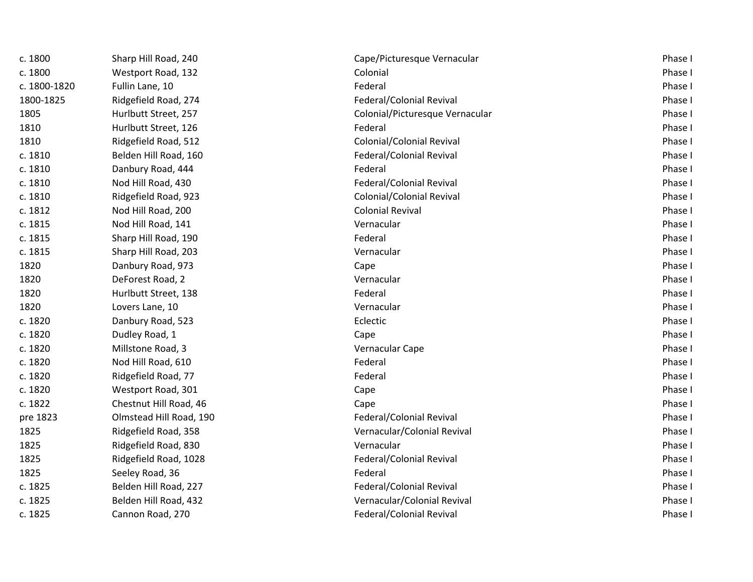| c. 1800      | Sharp Hill Road, 240    | Cape/Picturesque Vernacular     | Phase I |
|--------------|-------------------------|---------------------------------|---------|
| c. 1800      | Westport Road, 132      | Colonial                        | Phase I |
| c. 1800-1820 | Fullin Lane, 10         | Federal                         | Phase I |
| 1800-1825    | Ridgefield Road, 274    | Federal/Colonial Revival        | Phase I |
| 1805         | Hurlbutt Street, 257    | Colonial/Picturesque Vernacular | Phase I |
| 1810         | Hurlbutt Street, 126    | Federal                         | Phase I |
| 1810         | Ridgefield Road, 512    | Colonial/Colonial Revival       | Phase I |
| c. 1810      | Belden Hill Road, 160   | Federal/Colonial Revival        | Phase I |
| c. 1810      | Danbury Road, 444       | Federal                         | Phase I |
| c. 1810      | Nod Hill Road, 430      | Federal/Colonial Revival        | Phase I |
| c. 1810      | Ridgefield Road, 923    | Colonial/Colonial Revival       | Phase I |
| c. 1812      | Nod Hill Road, 200      | <b>Colonial Revival</b>         | Phase I |
| c. 1815      | Nod Hill Road, 141      | Vernacular                      | Phase I |
| c. 1815      | Sharp Hill Road, 190    | Federal                         | Phase I |
| c. 1815      | Sharp Hill Road, 203    | Vernacular                      | Phase I |
| 1820         | Danbury Road, 973       | Cape                            | Phase I |
| 1820         | DeForest Road, 2        | Vernacular                      | Phase I |
| 1820         | Hurlbutt Street, 138    | Federal                         | Phase I |
| 1820         | Lovers Lane, 10         | Vernacular                      | Phase I |
| c. 1820      | Danbury Road, 523       | Eclectic                        | Phase I |
| c. 1820      | Dudley Road, 1          | Cape                            | Phase I |
| c. 1820      | Millstone Road, 3       | Vernacular Cape                 | Phase I |
| c. 1820      | Nod Hill Road, 610      | Federal                         | Phase I |
| c. 1820      | Ridgefield Road, 77     | Federal                         | Phase I |
| c. 1820      | Westport Road, 301      | Cape                            | Phase I |
| c. 1822      | Chestnut Hill Road, 46  | Cape                            | Phase I |
| pre 1823     | Olmstead Hill Road, 190 | Federal/Colonial Revival        | Phase I |
| 1825         | Ridgefield Road, 358    | Vernacular/Colonial Revival     | Phase I |
| 1825         | Ridgefield Road, 830    | Vernacular                      | Phase I |
| 1825         | Ridgefield Road, 1028   | Federal/Colonial Revival        | Phase I |
| 1825         | Seeley Road, 36         | Federal                         | Phase I |
| c. 1825      | Belden Hill Road, 227   | Federal/Colonial Revival        | Phase I |
| c. 1825      | Belden Hill Road, 432   | Vernacular/Colonial Revival     | Phase I |
| c. 1825      | Cannon Road, 270        | Federal/Colonial Revival        | Phase I |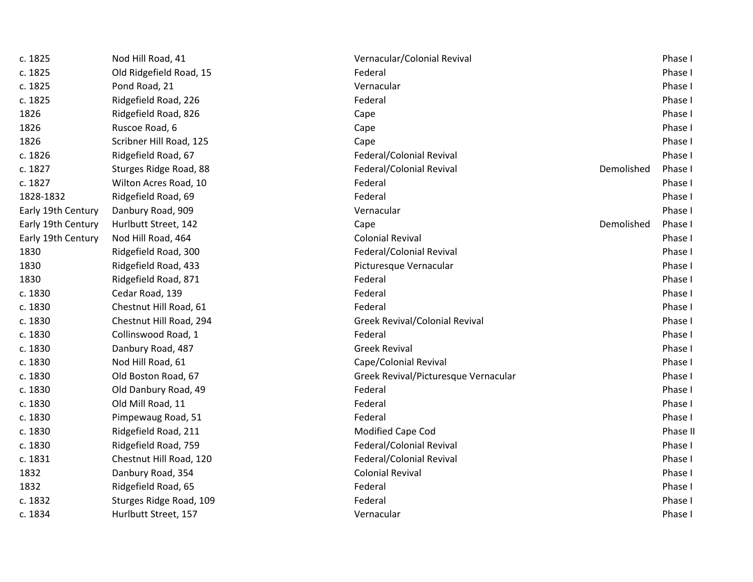| c. 1825            | Nod Hill Road, 41       | Vernacular/Colonial Revival          |            | Phase I  |
|--------------------|-------------------------|--------------------------------------|------------|----------|
| c. 1825            | Old Ridgefield Road, 15 | Federal                              |            | Phase I  |
| c. 1825            | Pond Road, 21           | Vernacular                           |            | Phase I  |
| c. 1825            | Ridgefield Road, 226    | Federal                              |            | Phase I  |
| 1826               | Ridgefield Road, 826    | Cape                                 |            | Phase I  |
| 1826               | Ruscoe Road, 6          | Cape                                 |            | Phase I  |
| 1826               | Scribner Hill Road, 125 | Cape                                 |            | Phase I  |
| c. 1826            | Ridgefield Road, 67     | Federal/Colonial Revival             |            | Phase I  |
| c. 1827            | Sturges Ridge Road, 88  | Federal/Colonial Revival             | Demolished | Phase I  |
| c. 1827            | Wilton Acres Road, 10   | Federal                              |            | Phase I  |
| 1828-1832          | Ridgefield Road, 69     | Federal                              |            | Phase I  |
| Early 19th Century | Danbury Road, 909       | Vernacular                           |            | Phase I  |
| Early 19th Century | Hurlbutt Street, 142    | Cape                                 | Demolished | Phase I  |
| Early 19th Century | Nod Hill Road, 464      | <b>Colonial Revival</b>              |            | Phase I  |
| 1830               | Ridgefield Road, 300    | Federal/Colonial Revival             |            | Phase I  |
| 1830               | Ridgefield Road, 433    | Picturesque Vernacular               |            | Phase I  |
| 1830               | Ridgefield Road, 871    | Federal                              |            | Phase I  |
| c. 1830            | Cedar Road, 139         | Federal                              |            | Phase I  |
| c. 1830            | Chestnut Hill Road, 61  | Federal                              |            | Phase I  |
| c. 1830            | Chestnut Hill Road, 294 | Greek Revival/Colonial Revival       |            | Phase I  |
| c. 1830            | Collinswood Road, 1     | Federal                              |            | Phase I  |
| c. 1830            | Danbury Road, 487       | <b>Greek Revival</b>                 |            | Phase I  |
| c. 1830            | Nod Hill Road, 61       | Cape/Colonial Revival                |            | Phase I  |
| c. 1830            | Old Boston Road, 67     | Greek Revival/Picturesque Vernacular |            | Phase I  |
| c. 1830            | Old Danbury Road, 49    | Federal                              |            | Phase I  |
| c. 1830            | Old Mill Road, 11       | Federal                              |            | Phase I  |
| c. 1830            | Pimpewaug Road, 51      | Federal                              |            | Phase I  |
| c. 1830            | Ridgefield Road, 211    | Modified Cape Cod                    |            | Phase II |
| c. 1830            | Ridgefield Road, 759    | Federal/Colonial Revival             |            | Phase I  |
| c. 1831            | Chestnut Hill Road, 120 | Federal/Colonial Revival             |            | Phase I  |
| 1832               | Danbury Road, 354       | <b>Colonial Revival</b>              |            | Phase I  |
| 1832               | Ridgefield Road, 65     | Federal                              |            | Phase I  |
| c. 1832            | Sturges Ridge Road, 109 | Federal                              |            | Phase I  |
| c. 1834            | Hurlbutt Street, 157    | Vernacular                           |            | Phase I  |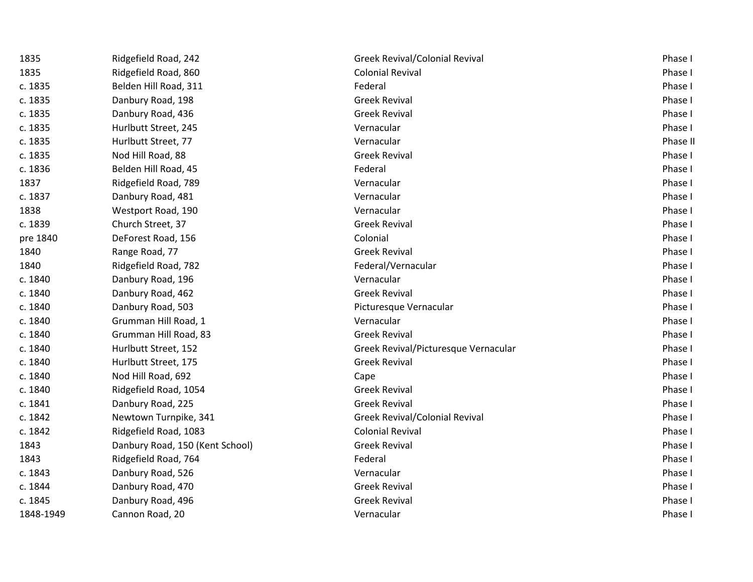| 1835      | Ridgefield Road, 242            | <b>Greek Revival/Colonial Revival</b> | Phase I  |
|-----------|---------------------------------|---------------------------------------|----------|
| 1835      | Ridgefield Road, 860            | <b>Colonial Revival</b>               | Phase I  |
| c. 1835   | Belden Hill Road, 311           | Federal                               | Phase I  |
| c. 1835   | Danbury Road, 198               | <b>Greek Revival</b>                  | Phase I  |
| c. 1835   | Danbury Road, 436               | <b>Greek Revival</b>                  | Phase I  |
| c. 1835   | Hurlbutt Street, 245            | Vernacular                            | Phase I  |
| c. 1835   | Hurlbutt Street, 77             | Vernacular                            | Phase II |
| c. 1835   | Nod Hill Road, 88               | <b>Greek Revival</b>                  | Phase I  |
| c. 1836   | Belden Hill Road, 45            | Federal                               | Phase I  |
| 1837      | Ridgefield Road, 789            | Vernacular                            | Phase I  |
| c. 1837   | Danbury Road, 481               | Vernacular                            | Phase I  |
| 1838      | Westport Road, 190              | Vernacular                            | Phase I  |
| c. 1839   | Church Street, 37               | <b>Greek Revival</b>                  | Phase I  |
| pre 1840  | DeForest Road, 156              | Colonial                              | Phase I  |
| 1840      | Range Road, 77                  | <b>Greek Revival</b>                  | Phase I  |
| 1840      | Ridgefield Road, 782            | Federal/Vernacular                    | Phase I  |
| c. 1840   | Danbury Road, 196               | Vernacular                            | Phase I  |
| c. 1840   | Danbury Road, 462               | <b>Greek Revival</b>                  | Phase I  |
| c. 1840   | Danbury Road, 503               | Picturesque Vernacular                | Phase I  |
| c. 1840   | Grumman Hill Road, 1            | Vernacular                            | Phase I  |
| c. 1840   | Grumman Hill Road, 83           | <b>Greek Revival</b>                  | Phase I  |
| c. 1840   | Hurlbutt Street, 152            | Greek Revival/Picturesque Vernacular  | Phase I  |
| c. 1840   | Hurlbutt Street, 175            | <b>Greek Revival</b>                  | Phase I  |
| c. 1840   | Nod Hill Road, 692              | Cape                                  | Phase I  |
| c. 1840   | Ridgefield Road, 1054           | <b>Greek Revival</b>                  | Phase I  |
| c. 1841   | Danbury Road, 225               | <b>Greek Revival</b>                  | Phase I  |
| c. 1842   | Newtown Turnpike, 341           | <b>Greek Revival/Colonial Revival</b> | Phase I  |
| c. 1842   | Ridgefield Road, 1083           | <b>Colonial Revival</b>               | Phase I  |
| 1843      | Danbury Road, 150 (Kent School) | <b>Greek Revival</b>                  | Phase I  |
| 1843      | Ridgefield Road, 764            | Federal                               | Phase I  |
| c. 1843   | Danbury Road, 526               | Vernacular                            | Phase I  |
| c. 1844   | Danbury Road, 470               | <b>Greek Revival</b>                  | Phase I  |
| c. 1845   | Danbury Road, 496               | <b>Greek Revival</b>                  | Phase I  |
| 1848-1949 | Cannon Road, 20                 | Vernacular                            | Phase I  |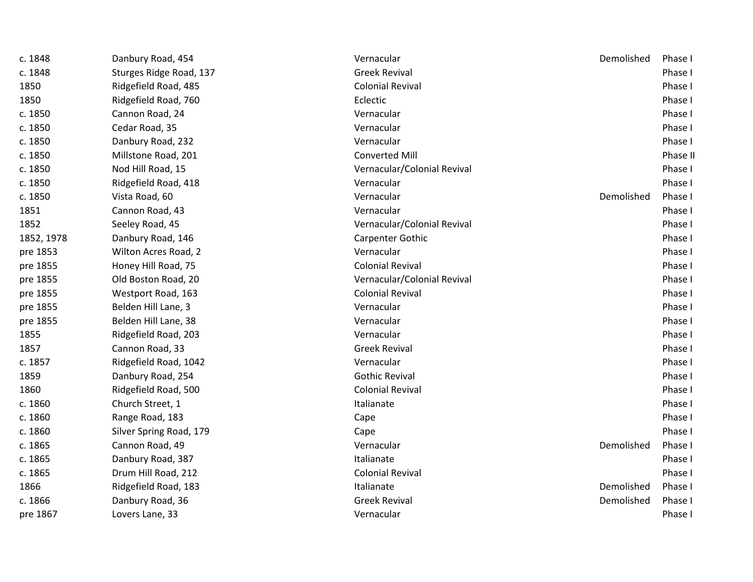| c. 1848    | Danbury Road, 454       | Vernacular                  | Demolished | Phase I  |
|------------|-------------------------|-----------------------------|------------|----------|
| c. 1848    | Sturges Ridge Road, 137 | <b>Greek Revival</b>        |            | Phase I  |
| 1850       | Ridgefield Road, 485    | <b>Colonial Revival</b>     |            | Phase I  |
| 1850       | Ridgefield Road, 760    | Eclectic                    |            | Phase I  |
| c. 1850    | Cannon Road, 24         | Vernacular                  |            | Phase I  |
| c. 1850    | Cedar Road, 35          | Vernacular                  |            | Phase I  |
| c. 1850    | Danbury Road, 232       | Vernacular                  |            | Phase I  |
| c. 1850    | Millstone Road, 201     | <b>Converted Mill</b>       |            | Phase II |
| c. 1850    | Nod Hill Road, 15       | Vernacular/Colonial Revival |            | Phase I  |
| c. 1850    | Ridgefield Road, 418    | Vernacular                  |            | Phase I  |
| c. 1850    | Vista Road, 60          | Vernacular                  | Demolished | Phase I  |
| 1851       | Cannon Road, 43         | Vernacular                  |            | Phase I  |
| 1852       | Seeley Road, 45         | Vernacular/Colonial Revival |            | Phase I  |
| 1852, 1978 | Danbury Road, 146       | Carpenter Gothic            |            | Phase I  |
| pre 1853   | Wilton Acres Road, 2    | Vernacular                  |            | Phase I  |
| pre 1855   | Honey Hill Road, 75     | <b>Colonial Revival</b>     |            | Phase I  |
| pre 1855   | Old Boston Road, 20     | Vernacular/Colonial Revival |            | Phase I  |
| pre 1855   | Westport Road, 163      | <b>Colonial Revival</b>     |            | Phase I  |
| pre 1855   | Belden Hill Lane, 3     | Vernacular                  |            | Phase I  |
| pre 1855   | Belden Hill Lane, 38    | Vernacular                  |            | Phase I  |
| 1855       | Ridgefield Road, 203    | Vernacular                  |            | Phase I  |
| 1857       | Cannon Road, 33         | <b>Greek Revival</b>        |            | Phase I  |
| c. 1857    | Ridgefield Road, 1042   | Vernacular                  |            | Phase I  |
| 1859       | Danbury Road, 254       | <b>Gothic Revival</b>       |            | Phase I  |
| 1860       | Ridgefield Road, 500    | <b>Colonial Revival</b>     |            | Phase I  |
| c. 1860    | Church Street, 1        | Italianate                  |            | Phase I  |
| c. 1860    | Range Road, 183         | Cape                        |            | Phase I  |
| c. 1860    | Silver Spring Road, 179 | Cape                        |            | Phase I  |
| c. 1865    | Cannon Road, 49         | Vernacular                  | Demolished | Phase I  |
| c. 1865    | Danbury Road, 387       | Italianate                  |            | Phase I  |
| c. 1865    | Drum Hill Road, 212     | <b>Colonial Revival</b>     |            | Phase I  |
| 1866       | Ridgefield Road, 183    | Italianate                  | Demolished | Phase I  |
| c. 1866    | Danbury Road, 36        | <b>Greek Revival</b>        | Demolished | Phase I  |
| pre 1867   | Lovers Lane, 33         | Vernacular                  |            | Phase I  |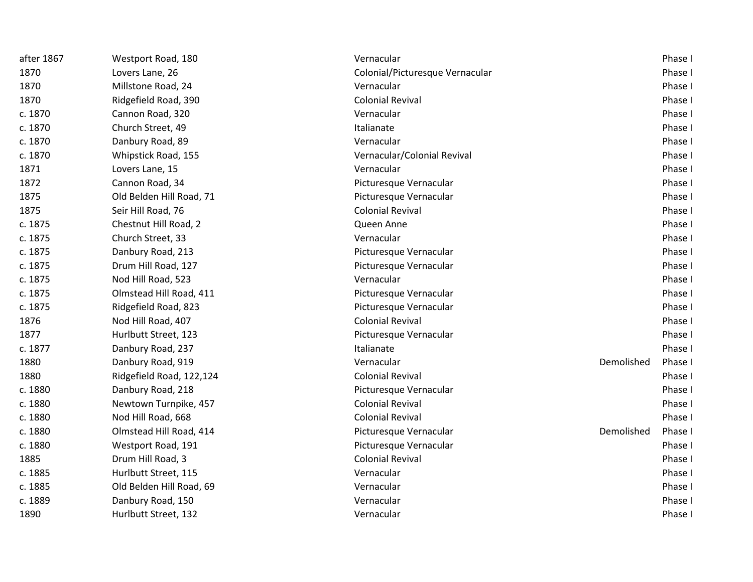| after 1867 | Westport Road, 180       | Vernacular                      |            | Phase I |
|------------|--------------------------|---------------------------------|------------|---------|
| 1870       | Lovers Lane, 26          | Colonial/Picturesque Vernacular |            | Phase I |
| 1870       | Millstone Road, 24       | Vernacular                      |            | Phase I |
| 1870       | Ridgefield Road, 390     | <b>Colonial Revival</b>         |            | Phase I |
| c. 1870    | Cannon Road, 320         | Vernacular                      |            | Phase I |
| c. 1870    | Church Street, 49        | Italianate                      |            | Phase I |
| c. 1870    | Danbury Road, 89         | Vernacular                      |            | Phase I |
| c. 1870    | Whipstick Road, 155      | Vernacular/Colonial Revival     |            | Phase I |
| 1871       | Lovers Lane, 15          | Vernacular                      |            | Phase I |
| 1872       | Cannon Road, 34          | Picturesque Vernacular          |            | Phase I |
| 1875       | Old Belden Hill Road, 71 | Picturesque Vernacular          |            | Phase I |
| 1875       | Seir Hill Road, 76       | <b>Colonial Revival</b>         |            | Phase I |
| c. 1875    | Chestnut Hill Road, 2    | Queen Anne                      |            | Phase I |
| c. 1875    | Church Street, 33        | Vernacular                      |            | Phase I |
| c. 1875    | Danbury Road, 213        | Picturesque Vernacular          |            | Phase I |
| c. 1875    | Drum Hill Road, 127      | Picturesque Vernacular          |            | Phase I |
| c. 1875    | Nod Hill Road, 523       | Vernacular                      |            | Phase I |
| c. 1875    | Olmstead Hill Road, 411  | Picturesque Vernacular          |            | Phase I |
| c. 1875    | Ridgefield Road, 823     | Picturesque Vernacular          |            | Phase I |
| 1876       | Nod Hill Road, 407       | <b>Colonial Revival</b>         |            | Phase I |
| 1877       | Hurlbutt Street, 123     | Picturesque Vernacular          |            | Phase I |
| c. 1877    | Danbury Road, 237        | Italianate                      |            | Phase I |
| 1880       | Danbury Road, 919        | Vernacular                      | Demolished | Phase I |
| 1880       | Ridgefield Road, 122,124 | <b>Colonial Revival</b>         |            | Phase I |
| c. 1880    | Danbury Road, 218        | Picturesque Vernacular          |            | Phase I |
| c. 1880    | Newtown Turnpike, 457    | <b>Colonial Revival</b>         |            | Phase I |
| c. 1880    | Nod Hill Road, 668       | <b>Colonial Revival</b>         |            | Phase I |
| c. 1880    | Olmstead Hill Road, 414  | Picturesque Vernacular          | Demolished | Phase I |
| c. 1880    | Westport Road, 191       | Picturesque Vernacular          |            | Phase I |
| 1885       | Drum Hill Road, 3        | <b>Colonial Revival</b>         |            | Phase I |
| c. 1885    | Hurlbutt Street, 115     | Vernacular                      |            | Phase I |
| c. 1885    | Old Belden Hill Road, 69 | Vernacular                      |            | Phase I |
| c. 1889    | Danbury Road, 150        | Vernacular                      |            | Phase I |
| 1890       | Hurlbutt Street, 132     | Vernacular                      |            | Phase I |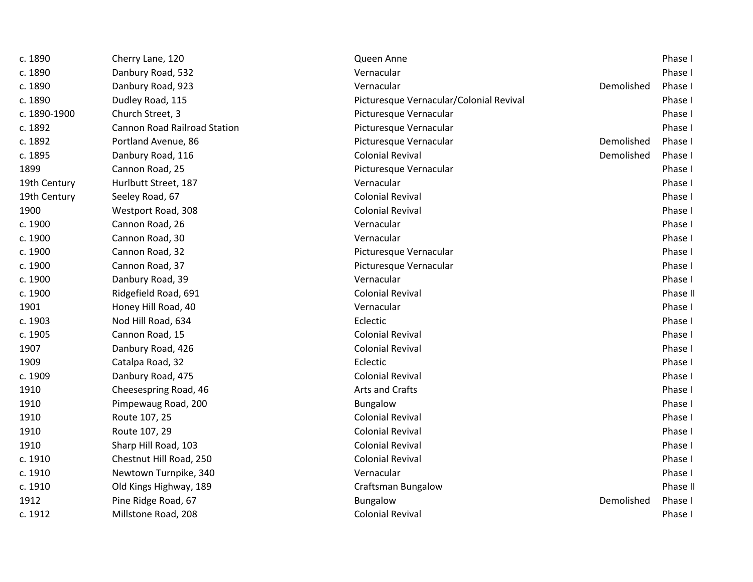| c. 1890      | Cherry Lane, 120                    | Queen Anne                              |            | Phase I  |
|--------------|-------------------------------------|-----------------------------------------|------------|----------|
| c. 1890      | Danbury Road, 532                   | Vernacular                              |            | Phase I  |
| c. 1890      | Danbury Road, 923                   | Vernacular                              | Demolished | Phase I  |
| c. 1890      | Dudley Road, 115                    | Picturesque Vernacular/Colonial Revival |            | Phase I  |
| c. 1890-1900 | Church Street, 3                    | Picturesque Vernacular                  |            | Phase I  |
| c. 1892      | <b>Cannon Road Railroad Station</b> | Picturesque Vernacular                  |            | Phase I  |
| c. 1892      | Portland Avenue, 86                 | Picturesque Vernacular                  | Demolished | Phase I  |
| c. 1895      | Danbury Road, 116                   | <b>Colonial Revival</b>                 | Demolished | Phase I  |
| 1899         | Cannon Road, 25                     | Picturesque Vernacular                  |            | Phase I  |
| 19th Century | Hurlbutt Street, 187                | Vernacular                              |            | Phase I  |
| 19th Century | Seeley Road, 67                     | <b>Colonial Revival</b>                 |            | Phase I  |
| 1900         | Westport Road, 308                  | <b>Colonial Revival</b>                 |            | Phase I  |
| c. 1900      | Cannon Road, 26                     | Vernacular                              |            | Phase I  |
| c. 1900      | Cannon Road, 30                     | Vernacular                              |            | Phase I  |
| c. 1900      | Cannon Road, 32                     | Picturesque Vernacular                  |            | Phase I  |
| c. 1900      | Cannon Road, 37                     | Picturesque Vernacular                  |            | Phase I  |
| c. 1900      | Danbury Road, 39                    | Vernacular                              |            | Phase I  |
| c. 1900      | Ridgefield Road, 691                | <b>Colonial Revival</b>                 |            | Phase II |
| 1901         | Honey Hill Road, 40                 | Vernacular                              |            | Phase I  |
| c. 1903      | Nod Hill Road, 634                  | Eclectic                                |            | Phase I  |
| c. 1905      | Cannon Road, 15                     | <b>Colonial Revival</b>                 |            | Phase I  |
| 1907         | Danbury Road, 426                   | <b>Colonial Revival</b>                 |            | Phase I  |
| 1909         | Catalpa Road, 32                    | Eclectic                                |            | Phase I  |
| c. 1909      | Danbury Road, 475                   | <b>Colonial Revival</b>                 |            | Phase I  |
| 1910         | Cheesespring Road, 46               | Arts and Crafts                         |            | Phase I  |
| 1910         | Pimpewaug Road, 200                 | Bungalow                                |            | Phase I  |
| 1910         | Route 107, 25                       | <b>Colonial Revival</b>                 |            | Phase I  |
| 1910         | Route 107, 29                       | <b>Colonial Revival</b>                 |            | Phase I  |
| 1910         | Sharp Hill Road, 103                | <b>Colonial Revival</b>                 |            | Phase I  |
| c. 1910      | Chestnut Hill Road, 250             | <b>Colonial Revival</b>                 |            | Phase I  |
| c. 1910      | Newtown Turnpike, 340               | Vernacular                              |            | Phase I  |
| c. 1910      | Old Kings Highway, 189              | <b>Craftsman Bungalow</b>               |            | Phase II |
| 1912         | Pine Ridge Road, 67                 | Bungalow                                | Demolished | Phase I  |
| c. 1912      | Millstone Road, 208                 | <b>Colonial Revival</b>                 |            | Phase I  |
|              |                                     |                                         |            |          |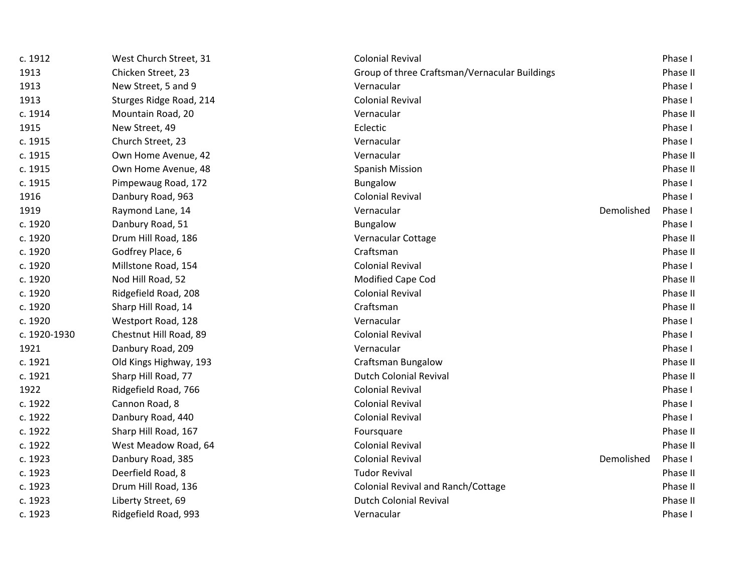| c. 1912      | West Church Street, 31  | <b>Colonial Revival</b>                       |            | Phase I  |
|--------------|-------------------------|-----------------------------------------------|------------|----------|
| 1913         | Chicken Street, 23      | Group of three Craftsman/Vernacular Buildings |            | Phase II |
| 1913         | New Street, 5 and 9     | Vernacular                                    |            | Phase I  |
| 1913         | Sturges Ridge Road, 214 | <b>Colonial Revival</b>                       |            | Phase I  |
| c. 1914      | Mountain Road, 20       | Vernacular                                    |            | Phase II |
| 1915         | New Street, 49          | Eclectic                                      |            | Phase I  |
| c. 1915      | Church Street, 23       | Vernacular                                    |            | Phase I  |
| c. 1915      | Own Home Avenue, 42     | Vernacular                                    |            | Phase II |
| c. 1915      | Own Home Avenue, 48     | <b>Spanish Mission</b>                        |            | Phase II |
| c. 1915      | Pimpewaug Road, 172     | Bungalow                                      |            | Phase I  |
| 1916         | Danbury Road, 963       | <b>Colonial Revival</b>                       |            | Phase I  |
| 1919         | Raymond Lane, 14        | Vernacular                                    | Demolished | Phase I  |
| c. 1920      | Danbury Road, 51        | <b>Bungalow</b>                               |            | Phase I  |
| c. 1920      | Drum Hill Road, 186     | Vernacular Cottage                            |            | Phase II |
| c. 1920      | Godfrey Place, 6        | Craftsman                                     |            | Phase II |
| c. 1920      | Millstone Road, 154     | <b>Colonial Revival</b>                       |            | Phase I  |
| c. 1920      | Nod Hill Road, 52       | Modified Cape Cod                             |            | Phase II |
| c. 1920      | Ridgefield Road, 208    | <b>Colonial Revival</b>                       |            | Phase II |
| c. 1920      | Sharp Hill Road, 14     | Craftsman                                     |            | Phase II |
| c. 1920      | Westport Road, 128      | Vernacular                                    |            | Phase I  |
| c. 1920-1930 | Chestnut Hill Road, 89  | <b>Colonial Revival</b>                       |            | Phase I  |
| 1921         | Danbury Road, 209       | Vernacular                                    |            | Phase I  |
| c. 1921      | Old Kings Highway, 193  | <b>Craftsman Bungalow</b>                     |            | Phase II |
| c. 1921      | Sharp Hill Road, 77     | <b>Dutch Colonial Revival</b>                 |            | Phase II |
| 1922         | Ridgefield Road, 766    | <b>Colonial Revival</b>                       |            | Phase I  |
| c. 1922      | Cannon Road, 8          | <b>Colonial Revival</b>                       |            | Phase I  |
| c. 1922      | Danbury Road, 440       | <b>Colonial Revival</b>                       |            | Phase I  |
| c. 1922      | Sharp Hill Road, 167    | Foursquare                                    |            | Phase II |
| c. 1922      | West Meadow Road, 64    | <b>Colonial Revival</b>                       |            | Phase II |
| c. 1923      | Danbury Road, 385       | <b>Colonial Revival</b>                       | Demolished | Phase I  |
| c. 1923      | Deerfield Road, 8       | <b>Tudor Revival</b>                          |            | Phase II |
| c. 1923      | Drum Hill Road, 136     | Colonial Revival and Ranch/Cottage            |            | Phase II |
| c. 1923      | Liberty Street, 69      | <b>Dutch Colonial Revival</b>                 |            | Phase II |
| c. 1923      | Ridgefield Road, 993    | Vernacular                                    |            | Phase I  |
|              |                         |                                               |            |          |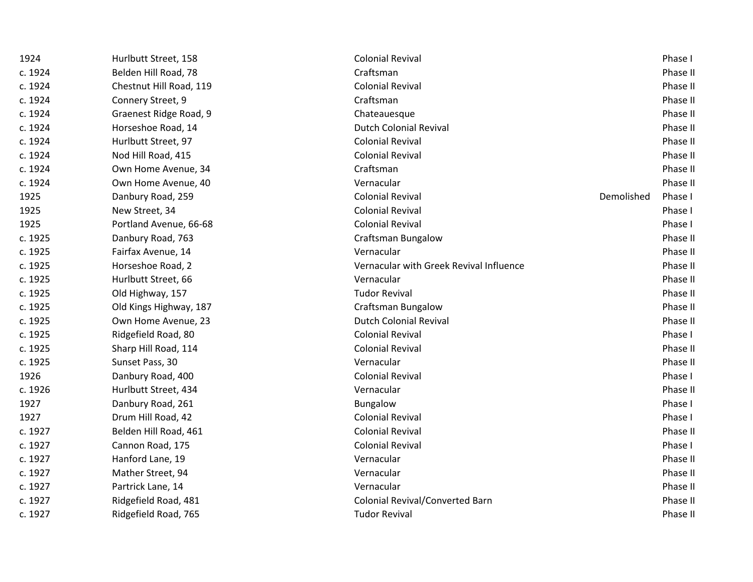| 1924    | Hurlbutt Street, 158    | <b>Colonial Revival</b>                 |            | Phase I  |
|---------|-------------------------|-----------------------------------------|------------|----------|
| c. 1924 | Belden Hill Road, 78    | Craftsman                               |            | Phase II |
| c. 1924 | Chestnut Hill Road, 119 | <b>Colonial Revival</b>                 |            | Phase II |
| c. 1924 | Connery Street, 9       | Craftsman                               |            | Phase II |
| c. 1924 | Graenest Ridge Road, 9  | Chateauesque                            |            | Phase II |
| c. 1924 | Horseshoe Road, 14      | <b>Dutch Colonial Revival</b>           |            | Phase II |
| c. 1924 | Hurlbutt Street, 97     | <b>Colonial Revival</b>                 |            | Phase II |
| c. 1924 | Nod Hill Road, 415      | <b>Colonial Revival</b>                 |            | Phase II |
| c. 1924 | Own Home Avenue, 34     | Craftsman                               |            | Phase II |
| c. 1924 | Own Home Avenue, 40     | Vernacular                              |            | Phase II |
| 1925    | Danbury Road, 259       | <b>Colonial Revival</b>                 | Demolished | Phase I  |
| 1925    | New Street, 34          | <b>Colonial Revival</b>                 |            | Phase I  |
| 1925    | Portland Avenue, 66-68  | <b>Colonial Revival</b>                 |            | Phase I  |
| c. 1925 | Danbury Road, 763       | <b>Craftsman Bungalow</b>               |            | Phase II |
| c. 1925 | Fairfax Avenue, 14      | Vernacular                              |            | Phase II |
| c. 1925 | Horseshoe Road, 2       | Vernacular with Greek Revival Influence |            | Phase II |
| c. 1925 | Hurlbutt Street, 66     | Vernacular                              |            | Phase II |
| c. 1925 | Old Highway, 157        | <b>Tudor Revival</b>                    |            | Phase II |
| c. 1925 | Old Kings Highway, 187  | <b>Craftsman Bungalow</b>               |            | Phase II |
| c. 1925 | Own Home Avenue, 23     | <b>Dutch Colonial Revival</b>           |            | Phase II |
| c. 1925 | Ridgefield Road, 80     | <b>Colonial Revival</b>                 |            | Phase I  |
| c. 1925 | Sharp Hill Road, 114    | <b>Colonial Revival</b>                 |            | Phase II |
| c. 1925 | Sunset Pass, 30         | Vernacular                              |            | Phase II |
| 1926    | Danbury Road, 400       | <b>Colonial Revival</b>                 |            | Phase I  |
| c. 1926 | Hurlbutt Street, 434    | Vernacular                              |            | Phase II |
| 1927    | Danbury Road, 261       | <b>Bungalow</b>                         |            | Phase I  |
| 1927    | Drum Hill Road, 42      | <b>Colonial Revival</b>                 |            | Phase I  |
| c. 1927 | Belden Hill Road, 461   | <b>Colonial Revival</b>                 |            | Phase II |
| c. 1927 | Cannon Road, 175        | <b>Colonial Revival</b>                 |            | Phase I  |
| c. 1927 | Hanford Lane, 19        | Vernacular                              |            | Phase II |
| c. 1927 | Mather Street, 94       | Vernacular                              |            | Phase II |
| c. 1927 | Partrick Lane, 14       | Vernacular                              |            | Phase II |
| c. 1927 | Ridgefield Road, 481    | Colonial Revival/Converted Barn         |            | Phase II |
| c. 1927 | Ridgefield Road, 765    | <b>Tudor Revival</b>                    |            | Phase II |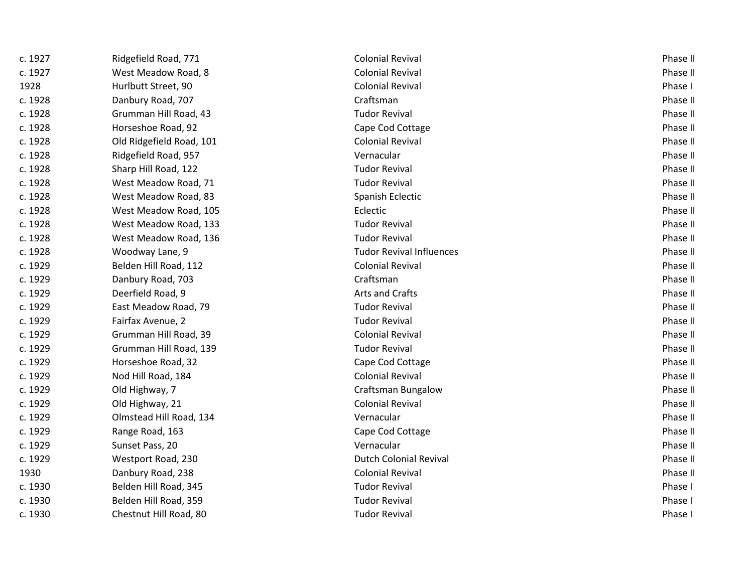| c. 1927 | Ridgefield Road, 771     | <b>Colonial Revival</b>         | Phase II |
|---------|--------------------------|---------------------------------|----------|
| c. 1927 | West Meadow Road, 8      | <b>Colonial Revival</b>         | Phase II |
| 1928    | Hurlbutt Street, 90      | <b>Colonial Revival</b>         | Phase I  |
| c. 1928 | Danbury Road, 707        | Craftsman                       | Phase II |
| c. 1928 | Grumman Hill Road, 43    | <b>Tudor Revival</b>            | Phase II |
| c. 1928 | Horseshoe Road, 92       | Cape Cod Cottage                | Phase II |
| c. 1928 | Old Ridgefield Road, 101 | <b>Colonial Revival</b>         | Phase II |
| c. 1928 | Ridgefield Road, 957     | Vernacular                      | Phase II |
| c. 1928 | Sharp Hill Road, 122     | <b>Tudor Revival</b>            | Phase II |
| c. 1928 | West Meadow Road, 71     | <b>Tudor Revival</b>            | Phase II |
| c. 1928 | West Meadow Road, 83     | Spanish Eclectic                | Phase II |
| c. 1928 | West Meadow Road, 105    | Eclectic                        | Phase II |
| c. 1928 | West Meadow Road, 133    | <b>Tudor Revival</b>            | Phase II |
| c. 1928 | West Meadow Road, 136    | <b>Tudor Revival</b>            | Phase II |
| c. 1928 | Woodway Lane, 9          | <b>Tudor Revival Influences</b> | Phase II |
| c. 1929 | Belden Hill Road, 112    | <b>Colonial Revival</b>         | Phase II |
| c. 1929 | Danbury Road, 703        | Craftsman                       | Phase II |
| c. 1929 | Deerfield Road, 9        | Arts and Crafts                 | Phase II |
| c. 1929 | East Meadow Road, 79     | <b>Tudor Revival</b>            | Phase II |
| c. 1929 | Fairfax Avenue, 2        | <b>Tudor Revival</b>            | Phase II |
| c. 1929 | Grumman Hill Road, 39    | <b>Colonial Revival</b>         | Phase II |
| c. 1929 | Grumman Hill Road, 139   | <b>Tudor Revival</b>            | Phase II |
| c. 1929 | Horseshoe Road, 32       | Cape Cod Cottage                | Phase II |
| c. 1929 | Nod Hill Road, 184       | <b>Colonial Revival</b>         | Phase II |
| c. 1929 | Old Highway, 7           | <b>Craftsman Bungalow</b>       | Phase II |
| c. 1929 | Old Highway, 21          | <b>Colonial Revival</b>         | Phase II |
| c. 1929 | Olmstead Hill Road, 134  | Vernacular                      | Phase II |
| c. 1929 | Range Road, 163          | Cape Cod Cottage                | Phase II |
| c. 1929 | Sunset Pass, 20          | Vernacular                      | Phase II |
| c. 1929 | Westport Road, 230       | <b>Dutch Colonial Revival</b>   | Phase II |
| 1930    | Danbury Road, 238        | <b>Colonial Revival</b>         | Phase II |
| c. 1930 | Belden Hill Road, 345    | <b>Tudor Revival</b>            | Phase I  |
| c. 1930 | Belden Hill Road, 359    | <b>Tudor Revival</b>            | Phase I  |
| c. 1930 | Chestnut Hill Road, 80   | <b>Tudor Revival</b>            | Phase I  |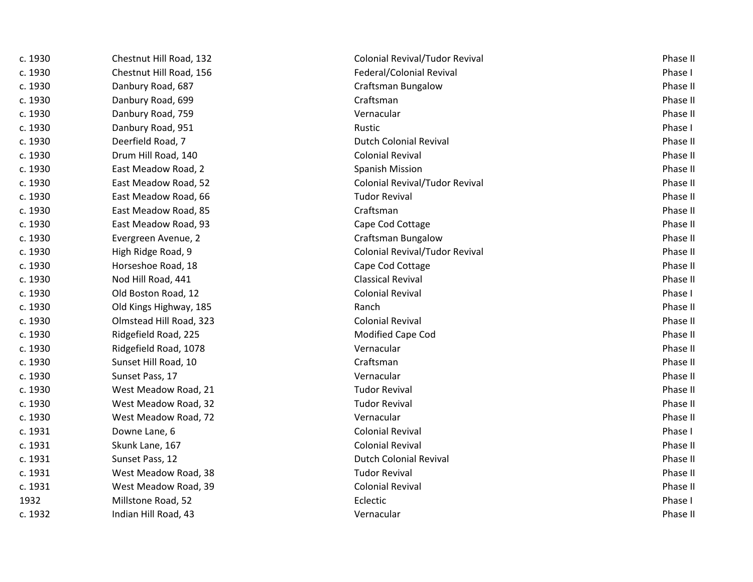| c. 1930 | Chestnut Hill Road, 132 | <b>Colonial Revival/Tudor Revival</b> | Phase II |
|---------|-------------------------|---------------------------------------|----------|
| c. 1930 | Chestnut Hill Road, 156 | Federal/Colonial Revival              | Phase I  |
| c. 1930 | Danbury Road, 687       | <b>Craftsman Bungalow</b>             | Phase II |
| c. 1930 | Danbury Road, 699       | Craftsman                             | Phase II |
| c. 1930 | Danbury Road, 759       | Vernacular                            | Phase II |
| c. 1930 | Danbury Road, 951       | Rustic                                | Phase I  |
| c. 1930 | Deerfield Road, 7       | <b>Dutch Colonial Revival</b>         | Phase II |
| c. 1930 | Drum Hill Road, 140     | <b>Colonial Revival</b>               | Phase II |
| c. 1930 | East Meadow Road, 2     | <b>Spanish Mission</b>                | Phase II |
| c. 1930 | East Meadow Road, 52    | <b>Colonial Revival/Tudor Revival</b> | Phase II |
| c. 1930 | East Meadow Road, 66    | <b>Tudor Revival</b>                  | Phase II |
| c. 1930 | East Meadow Road, 85    | Craftsman                             | Phase II |
| c. 1930 | East Meadow Road, 93    | Cape Cod Cottage                      | Phase II |
| c. 1930 | Evergreen Avenue, 2     | Craftsman Bungalow                    | Phase II |
| c. 1930 | High Ridge Road, 9      | Colonial Revival/Tudor Revival        | Phase II |
| c. 1930 | Horseshoe Road, 18      | Cape Cod Cottage                      | Phase II |
| c. 1930 | Nod Hill Road, 441      | <b>Classical Revival</b>              | Phase II |
| c. 1930 | Old Boston Road, 12     | <b>Colonial Revival</b>               | Phase I  |
| c. 1930 | Old Kings Highway, 185  | Ranch                                 | Phase II |
| c. 1930 | Olmstead Hill Road, 323 | <b>Colonial Revival</b>               | Phase II |
| c. 1930 | Ridgefield Road, 225    | Modified Cape Cod                     | Phase II |
| c. 1930 | Ridgefield Road, 1078   | Vernacular                            | Phase II |
| c. 1930 | Sunset Hill Road, 10    | Craftsman                             | Phase II |
| c. 1930 | Sunset Pass, 17         | Vernacular                            | Phase II |
| c. 1930 | West Meadow Road, 21    | <b>Tudor Revival</b>                  | Phase II |
| c. 1930 | West Meadow Road, 32    | <b>Tudor Revival</b>                  | Phase II |
| c. 1930 | West Meadow Road, 72    | Vernacular                            | Phase II |
| c. 1931 | Downe Lane, 6           | <b>Colonial Revival</b>               | Phase I  |
| c. 1931 | Skunk Lane, 167         | <b>Colonial Revival</b>               | Phase II |
| c. 1931 | Sunset Pass, 12         | <b>Dutch Colonial Revival</b>         | Phase II |
| c. 1931 | West Meadow Road, 38    | <b>Tudor Revival</b>                  | Phase II |
| c. 1931 | West Meadow Road, 39    | <b>Colonial Revival</b>               | Phase II |
| 1932    | Millstone Road, 52      | Eclectic                              | Phase I  |
| c. 1932 | Indian Hill Road, 43    | Vernacular                            | Phase II |
|         |                         |                                       |          |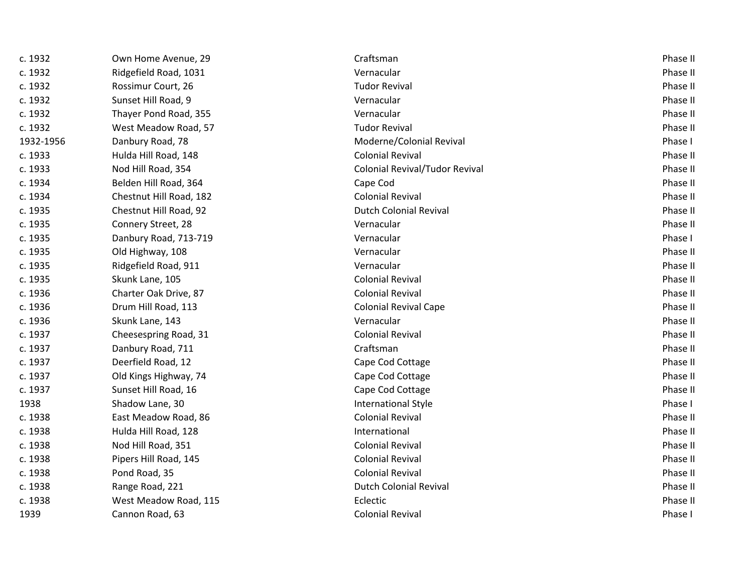| c. 1932   | Own Home Avenue, 29     | Craftsman                             | Phase II |
|-----------|-------------------------|---------------------------------------|----------|
| c. 1932   | Ridgefield Road, 1031   | Vernacular                            | Phase II |
| c. 1932   | Rossimur Court, 26      | <b>Tudor Revival</b>                  | Phase II |
| c. 1932   | Sunset Hill Road, 9     | Vernacular                            | Phase II |
| c. 1932   | Thayer Pond Road, 355   | Vernacular                            | Phase II |
| c. 1932   | West Meadow Road, 57    | <b>Tudor Revival</b>                  | Phase II |
| 1932-1956 | Danbury Road, 78        | Moderne/Colonial Revival              | Phase I  |
| c. 1933   | Hulda Hill Road, 148    | <b>Colonial Revival</b>               | Phase II |
| c. 1933   | Nod Hill Road, 354      | <b>Colonial Revival/Tudor Revival</b> | Phase II |
| c. 1934   | Belden Hill Road, 364   | Cape Cod                              | Phase II |
| c. 1934   | Chestnut Hill Road, 182 | <b>Colonial Revival</b>               | Phase II |
| c. 1935   | Chestnut Hill Road, 92  | <b>Dutch Colonial Revival</b>         | Phase II |
| c. 1935   | Connery Street, 28      | Vernacular                            | Phase II |
| c. 1935   | Danbury Road, 713-719   | Vernacular                            | Phase I  |
| c. 1935   | Old Highway, 108        | Vernacular                            | Phase II |
| c. 1935   | Ridgefield Road, 911    | Vernacular                            | Phase II |
| c. 1935   | Skunk Lane, 105         | <b>Colonial Revival</b>               | Phase II |
| c. 1936   | Charter Oak Drive, 87   | <b>Colonial Revival</b>               | Phase II |
| c. 1936   | Drum Hill Road, 113     | <b>Colonial Revival Cape</b>          | Phase II |
| c. 1936   | Skunk Lane, 143         | Vernacular                            | Phase II |
| c. 1937   | Cheesespring Road, 31   | <b>Colonial Revival</b>               | Phase II |
| c. 1937   | Danbury Road, 711       | Craftsman                             | Phase II |
| c. 1937   | Deerfield Road, 12      | Cape Cod Cottage                      | Phase II |
| c. 1937   | Old Kings Highway, 74   | Cape Cod Cottage                      | Phase II |
| c. 1937   | Sunset Hill Road, 16    | Cape Cod Cottage                      | Phase II |
| 1938      | Shadow Lane, 30         | <b>International Style</b>            | Phase I  |
| c. 1938   | East Meadow Road, 86    | <b>Colonial Revival</b>               | Phase II |
| c. 1938   | Hulda Hill Road, 128    | International                         | Phase II |
| c. 1938   | Nod Hill Road, 351      | <b>Colonial Revival</b>               | Phase II |
| c. 1938   | Pipers Hill Road, 145   | <b>Colonial Revival</b>               | Phase II |
| c. 1938   | Pond Road, 35           | <b>Colonial Revival</b>               | Phase II |
| c. 1938   | Range Road, 221         | <b>Dutch Colonial Revival</b>         | Phase II |
| c. 1938   | West Meadow Road, 115   | Eclectic                              | Phase II |
| 1939      | Cannon Road, 63         | <b>Colonial Revival</b>               | Phase I  |